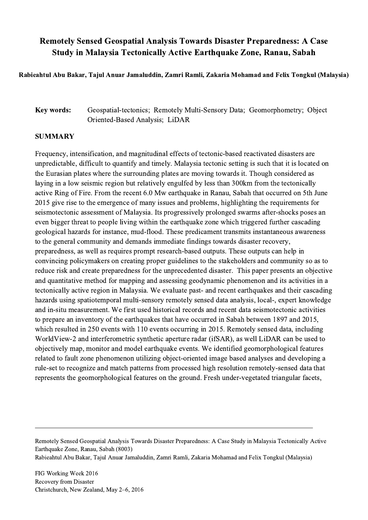## Remotely Sensed Geospatial Analysis Towards Disaster Preparedness: A Case Study in Malaysia Tectonically Active Earthquake Zone, Ranau, Sabah

Rabieahtul Abu Bakar, Tajul Anuar Jamaluddin, Zamri Ramli, Zakaria Mohamad and Felix Tongkul (Malaysia)

## Key words: Geospatial-tectonics; Remotely Multi-Sensory Data; Geomorphometry; Object Oriented-Based Analysis; LiDAR

## SUMMARY

Frequency, intensification, and magnitudinal effects of tectonic-based reactivated disasters are unpredictable, difficult to quantify and timely. Malaysia tectonic setting is such that it is located on the Eurasian plates where the surrounding plates are moving towards it. Though considered as laying in a low seismic region but relatively engulfed by less than 300km from the tectonically active Ring of Fire. From the recent 6.0 Mw earthquake in Ranau, Sabah that occurred on 5th June 2015 give rise to the emergence of many issues and problems, highlighting the requirements for seismotectonic assessment of Malaysia. Its progressively prolonged swarms after-shocks poses an even bigger threat to people living within the earthquake zone which triggered further cascading geological hazards for instance, mud-flood. These predicament transmits instantaneous awareness to the general community and demands immediate findings towards disaster recovery, preparedness, as well as requires prompt research-based outputs. These outputs can help in convincing policymakers on creating proper guidelines to the stakeholders and community so as to reduce risk and create preparedness for the unprecedented disaster. This paper presents an objective and quantitative method for mapping and assessing geodynamic phenomenon and its activities in a tectonically active region in Malaysia. We evaluate past- and recent earthquakes and their cascading hazards using spatiotemporal multi-sensory remotely sensed data analysis, local-, expert knowledge and in-situ measurement. We first used historical records and recent data seismotectonic activities to prepare an inventory of the earthquakes that have occurred in Sabah between 1897 and 2015, which resulted in 250 events with 110 events occurring in 2015. Remotely sensed data, including WorldView-2 and interferometric synthetic aperture radar (ifSAR), as well LiDAR can be used to objectively map, monitor and model earthquake events. We identified geomorphological features related to fault zone phenomenon utilizing object-oriented image based analyses and developing a rule-set to recognize and match patterns from processed high resolution remotely-sensed data that represents the geomorphological features on the ground. Fresh under-vegetated triangular facets,

 $\mathcal{L}_\mathcal{L} = \{ \mathcal{L}_\mathcal{L} = \{ \mathcal{L}_\mathcal{L} = \{ \mathcal{L}_\mathcal{L} = \{ \mathcal{L}_\mathcal{L} = \{ \mathcal{L}_\mathcal{L} = \{ \mathcal{L}_\mathcal{L} = \{ \mathcal{L}_\mathcal{L} = \{ \mathcal{L}_\mathcal{L} = \{ \mathcal{L}_\mathcal{L} = \{ \mathcal{L}_\mathcal{L} = \{ \mathcal{L}_\mathcal{L} = \{ \mathcal{L}_\mathcal{L} = \{ \mathcal{L}_\mathcal{L} = \{ \mathcal{L}_\mathcal{$ 

Remotely Sensed Geospatial Analysis Towards Disaster Preparedness: A Case Study in Malaysia Tectonically Active Earthquake Zone, Ranau, Sabah (8003) Rabieahtul Abu Bakar, Tajul Anuar Jamaluddin, Zamri Ramli, Zakaria Mohamad and Felix Tongkul (Malaysia)